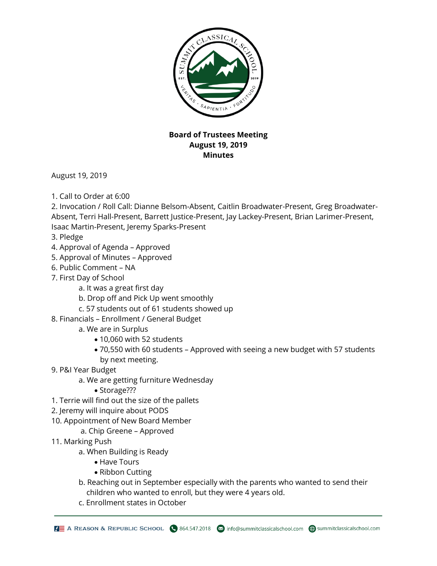

## **Board of Trustees Meeting August 19, 2019 Minutes**

August 19, 2019

1. Call to Order at 6:00

2. Invocation / Roll Call: Dianne Belsom-Absent, Caitlin Broadwater-Present, Greg Broadwater-Absent, Terri Hall-Present, Barrett Justice-Present, Jay Lackey-Present, Brian Larimer-Present, Isaac Martin-Present, Jeremy Sparks-Present

- 3. Pledge
- 4. Approval of Agenda Approved
- 5. Approval of Minutes Approved
- 6. Public Comment NA
- 7. First Day of School
	- a. It was a great first day
	- b. Drop off and Pick Up went smoothly
	- c. 57 students out of 61 students showed up
- 8. Financials Enrollment / General Budget
	- a. We are in Surplus
		- 10,060 with 52 students
		- 70,550 with 60 students Approved with seeing a new budget with 57 students by next meeting.
- 9. P&I Year Budget
	- a. We are getting furniture Wednesday
		- Storage???
- 1. Terrie will find out the size of the pallets
- 2. Jeremy will inquire about PODS
- 10. Appointment of New Board Member
	- a. Chip Greene Approved
- 11. Marking Push
	- a. When Building is Ready
		- Have Tours
		- Ribbon Cutting
	- b. Reaching out in September especially with the parents who wanted to send their children who wanted to enroll, but they were 4 years old.
	- c. Enrollment states in October